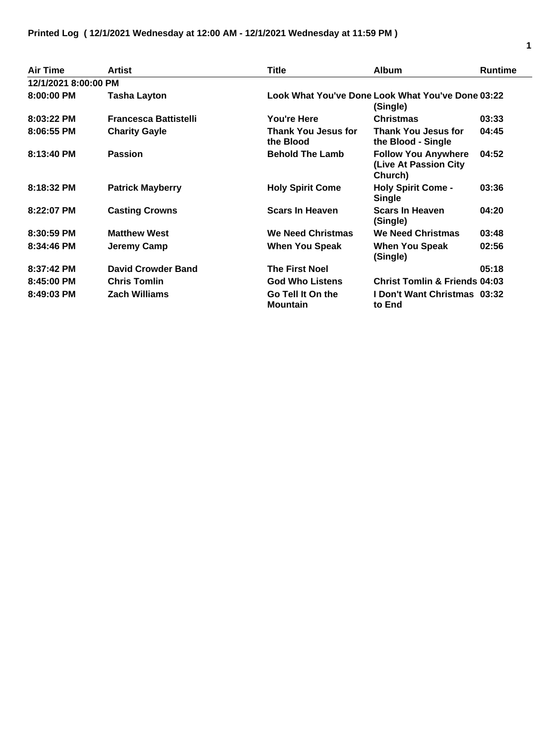| Air Time             | <b>Artist</b>                | Title                                                         | <b>Album</b>                                                   | <b>Runtime</b> |
|----------------------|------------------------------|---------------------------------------------------------------|----------------------------------------------------------------|----------------|
| 12/1/2021 8:00:00 PM |                              |                                                               |                                                                |                |
| $8:00:00$ PM         | Tasha Layton                 | Look What You've Done Look What You've Done 03:22<br>(Single) |                                                                |                |
| $8:03:22$ PM         | <b>Francesca Battistelli</b> | You're Here                                                   | <b>Christmas</b>                                               | 03:33          |
| 8:06:55 PM           | <b>Charity Gayle</b>         | Thank You Jesus for<br>the Blood                              | <b>Thank You Jesus for</b><br>the Blood - Single               | 04:45          |
| 8:13:40 PM           | <b>Passion</b>               | <b>Behold The Lamb</b>                                        | <b>Follow You Anywhere</b><br>(Live At Passion City<br>Church) | 04:52          |
| 8:18:32 PM           | <b>Patrick Mayberry</b>      | <b>Holy Spirit Come</b>                                       | <b>Holy Spirit Come -</b><br><b>Single</b>                     | 03:36          |
| 8:22:07 PM           | <b>Casting Crowns</b>        | <b>Scars In Heaven</b>                                        | <b>Scars In Heaven</b><br>(Single)                             | 04:20          |
| $8:30:59$ PM         | <b>Matthew West</b>          | <b>We Need Christmas</b>                                      | <b>We Need Christmas</b>                                       | 03:48          |
| 8:34:46 PM           | Jeremy Camp                  | When You Speak                                                | <b>When You Speak</b><br>(Single)                              | 02:56          |
| 8:37:42 PM           | <b>David Crowder Band</b>    | <b>The First Noel</b>                                         |                                                                | 05:18          |
| $8:45:00$ PM         | <b>Chris Tomlin</b>          | <b>God Who Listens</b>                                        | <b>Christ Tomlin &amp; Friends 04:03</b>                       |                |
| 8:49:03 PM           | <b>Zach Williams</b>         | Go Tell It On the<br><b>Mountain</b>                          | I Don't Want Christmas 03:32<br>to End                         |                |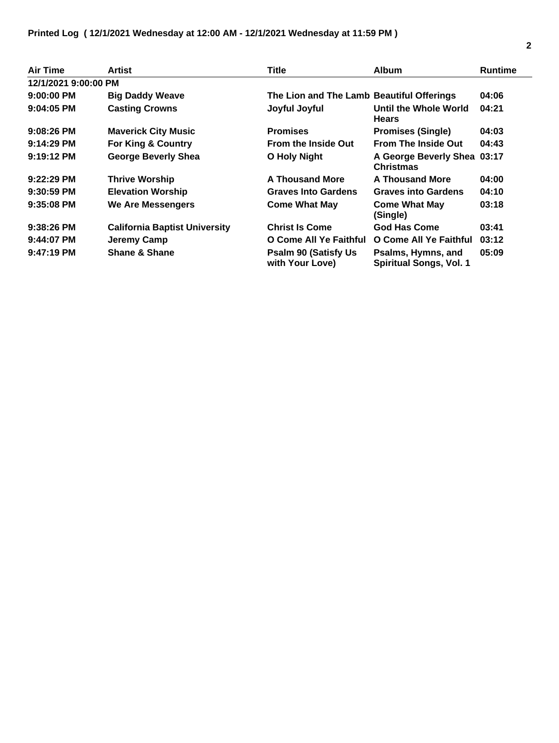| Air Time             | Artist                               | Title                                           | <b>Album</b>                                         | <b>Runtime</b> |
|----------------------|--------------------------------------|-------------------------------------------------|------------------------------------------------------|----------------|
| 12/1/2021 9:00:00 PM |                                      |                                                 |                                                      |                |
| $9:00:00$ PM         | <b>Big Daddy Weave</b>               | The Lion and The Lamb Beautiful Offerings       |                                                      | 04:06          |
| 9:04:05 PM           | <b>Casting Crowns</b>                | Joyful Joyful                                   | Until the Whole World<br><b>Hears</b>                | 04:21          |
| $9:08:26$ PM         | <b>Maverick City Music</b>           | <b>Promises</b>                                 | <b>Promises (Single)</b>                             | 04:03          |
| $9:14:29$ PM         | <b>For King &amp; Country</b>        | <b>From the Inside Out</b>                      | <b>From The Inside Out</b>                           | 04:43          |
| $9:19:12$ PM         | <b>George Beverly Shea</b>           | <b>O Holy Night</b>                             | A George Beverly Shea 03:17<br><b>Christmas</b>      |                |
| $9:22:29$ PM         | <b>Thrive Worship</b>                | <b>A Thousand More</b>                          | <b>A Thousand More</b>                               | 04:00          |
| $9:30:59$ PM         | <b>Elevation Worship</b>             | <b>Graves Into Gardens</b>                      | <b>Graves into Gardens</b>                           | 04:10          |
| $9:35:08$ PM         | <b>We Are Messengers</b>             | <b>Come What May</b>                            | <b>Come What May</b><br>(Single)                     | 03:18          |
| $9:38:26$ PM         | <b>California Baptist University</b> | <b>Christ Is Come</b>                           | <b>God Has Come</b>                                  | 03:41          |
| $9:44:07$ PM         | Jeremy Camp                          | O Come All Ye Faithful                          | O Come All Ye Faithful                               | 03:12          |
| $9:47:19$ PM         | <b>Shane &amp; Shane</b>             | <b>Psalm 90 (Satisfy Us)</b><br>with Your Love) | Psalms, Hymns, and<br><b>Spiritual Songs, Vol. 1</b> | 05:09          |